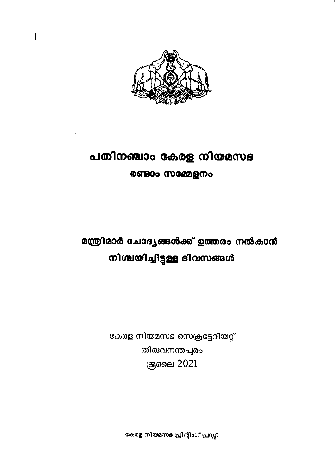

 $\mathbf{I}$ 

# പതിനഞ്ചാം കേരള നിയമസഭ രണ്ടാം സമ്മേളനം

മന്ത്രിമാർ ചോദ്യങ്ങൾക്ക് ഉത്തരം നൽകാൻ നിശ്ചയിച്ചിട്ടുള്ള ദിവസങ്ങൾ

> കേരള നിയമസഭ സെക്രട്ടേറിയറ്റ് തിരുവനന്തപുരം **இ**ലൈ 2021

> > കേരള നിയമസഭ പ്രിന്റിംഗ് പ്രസ്സ്.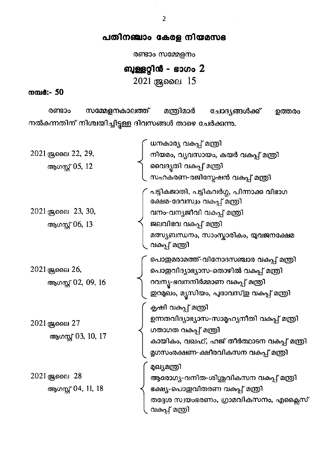### പതിനഞ്ചാം കേരള നിയമസഭ

രണ്ടാം സമ്മേളനം

## ബുള്ളറ്റിൻ - ഭാഗം 2

2021 ஆലை 15

#### നമ്പർ:- 50

സമ്മേളനകാലത്ത് മന്ത്രിമാർ ചോദ്യങ്ങൾക്ക് രണ്ടാം ഉത്തരം നൽകന്നതിന് നിശ്ചയിച്ചിട്ടുള്ള ദിവസങ്ങൾ താഴെ ചേർക്കുന്നു.

|                     | ധനകാര്യ വകപ്പ് മന്ത്രി                                                   |
|---------------------|--------------------------------------------------------------------------|
| 2021 ജ്രലൈ 22, 29,  | നിയമം, വ്യവസായം, കയർ വകുപ്പ് മന്ത്രി                                     |
| ആഗസ്റ്റ് 05, 12     | വൈദൃതി വകപ്പ് മന്ത്രി                                                    |
|                     | സഹകരണ-രജിസ്മേഷൻ വകുപ്പ് മന്ത്രി                                          |
|                     | പട്ടികജാതി, പട്ടികവർഗ്ഗ, പിന്നാക്ക വിഭാഗ<br>ക്ഷേമ-ദേവസ്വം വകപ്പ് മന്ത്രി |
| 2021 ജ്രലൈ 23, 30,  | വനം-വന്യജീവി വകപ്പ് മന്ത്രി                                              |
| ആഗസ്റ്റ് 06, 13     | ജലവിഭവ വകുപ്പ് മന്ത്രി                                                   |
|                     | മത്സ്യബന്ധനം, സാംസ്കാരികം, യുവജനക്ഷേമ<br>വകപ്പ് മന്ത്രി                  |
|                     | പൊതുമരാമത്ത്-വിനോദസഞ്ചാര വകപ്പ് മന്ത്രി                                  |
| 2021 ജ്രലൈ 26,      | പൊതുവിദ്യാഭ്യാസ-തൊഴിൽ വകുപ്പ് മന്ത്രി                                    |
| ആഗസ്റ്റ് 02, 09, 16 | റവന്യ-ഭവനനിർമ്മാണ വകപ്പ് മന്ത്രി                                         |
|                     | ഇറമുഖം, മ്യൂസിയം, പുരാവസ്ഇ വകപ്പ് മന്ത്രി                                |
|                     | കൃഷി വകപ്പ് മന്ത്രി                                                      |
| $2021$ ജ്രലൈ $27$   | ഉന്നതവിദ്യാഭ്യാസ-സാമൂഹ്യനീതി വകപ്പ് മന്ത്രി                              |
|                     | ഗതാഗത വകപ്പ് മന്ത്രി                                                     |
| ആഗസ്റ്റ് 03, 10, 17 | കായികം, വഖഫ്, ഹജ് തീർത്ഥാടന വകപ്പ് മന്ത്രി                               |
|                     | മൃഗസംരക്ഷണ-ക്ഷീരവികസന വകപ്പ് മന്ത്രി                                     |
|                     | മുഖ്യമന്ത്രി                                                             |
| 2021 ജ്രലൈ 28       | ആരോഗ്യ-വനിത-ശിശുവികസന വകുപ്പ് മന്ത്രി                                    |
| ആഗസ്റ്റ് 04, 11, 18 | ഭക്ഷ്യ-പൊഇവിതരണ വകപ്പ് മന്ത്രി                                           |
|                     | തദ്ദേശ സ്വയംഭരണം, ഗ്രാമവികസനം, എക്ലൈസ്<br>വകപ്പ് മന്ത്രി                 |
|                     |                                                                          |

 $\overline{2}$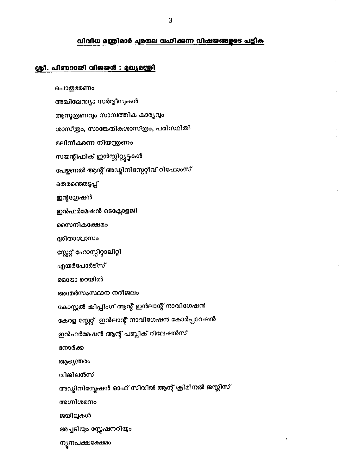### വിവിധ മന്ത്രിമാർ ചുമതല വഹിക്കുന്ന വിഷയങ്ങളുടെ പട്ടിക

 $\bar{\bar{z}}$ 

 $\bullet$ 

### ശ്രീ. പിണറായി വിജയൻ : മുഖ്യമന്ത്രി

| പൊതുഭരണം                                         |
|--------------------------------------------------|
| അഖിലേന്ത്യാ സർവ്വീസുകൾ                           |
| ആസൂത്രണവും സാമ്പത്തിക കാര്യവും                   |
| ശാസ്ത്രം, സാങ്കേതികശാസ്ത്രം, പരിസ്ഥിതി           |
| മലിനീകരണ നിയന്ത്രണം                              |
| സയന്റീഫിക് ഇൻസ്റ്റിറ്റ്യൂട്ടുകൾ                  |
| പേഴ്ലണൽ ആന്റ് അഡ്മിനിസ്ലേറ്റീവ് റിഫോംസ്          |
| തെരഞ്ഞെടുപ്പ്                                    |
| ഇന്റഗ്രേഷൻ                                       |
| ഇൻഫർമേഷൻ ടെക്സോളജി                               |
| സൈനികക്ഷേമം                                      |
| ദുരിതാശ്വാസം                                     |
| സ്റ്റേറ്റ് ഹോസ്പിറ്റാലിറ്റി                      |
| എയർപോർട്സ്                                       |
| മെടോ റെയിൽ                                       |
| അന്തർസംസ്ഥാന നദീജലം                              |
| കോസ്റ്റൽ ഷിപ്പിംഗ് ആന്റ് ഇൻലാന്റ് നാവിഗേഷൻ       |
| കേരള സ്റ്റേറ്റ്  ഇൻലാന്റ് നാവിഗേഷൻ കോർപ്പറേഷൻ    |
| ഇൻഫർമേഷൻ ആന്റ് പബ്ലിക് റിലേഷൻസ്                  |
| നോർക്ക                                           |
| ആഭ്യന്തരം                                        |
| വിജിലൻസ്                                         |
| അഡ്വിനിസ്ലേഷൻ ഓഫ് സിവിൽ ആന്റ് ക്രിമിനൽ ജസ്റ്റിസ് |
| അഗ്നിശമനം                                        |
| ജയിലുകൾ                                          |
| അച്ചടിയും സ്റ്റേഷനറിയും                          |
| ന്യൂനപക്ഷക്ഷേമം                                  |
|                                                  |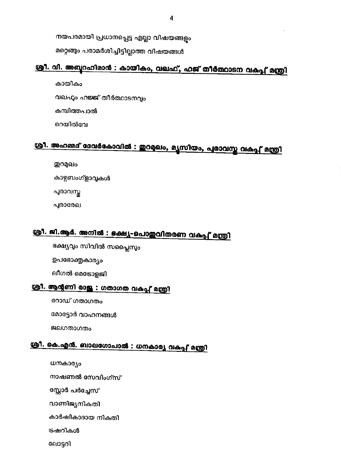നയപരമായി പ്രധാനപ്പെട്ട എല്ലാ വിഷയങ്ങളും

മറ്റെങ്ങും പരാമർശിച്ചിട്ടില്ലാത്ത വിഷയങ്ങൾ

## ശ്രീ. വി. അബ്ബറഹിമാൻ : കായികം, വഖഫ്, ഹജ് തീർത്ഥാടന വകുപ്പ് മന്ത്രി

കായികം വഖഹം ഹജ്ജ് തീർത്ഥാടനവ്യം കമ്പിത്തപാൽ റെയിൽവേ

# ശ്രീ. അഹമ്മദ് ദേവർകോവിൽ : ഇറമുഖം, മൃസിയം, പുരാവസ്ത വകുപ്പ് മന്ത്രി

ഇറമുഖം കാഴ്ചബംഗ്ളാവുകൾ പുരാവസ്തു

പുരാരേഖ

## ശ്രീ. ജി.ആർ. അനിൽ : ഭക്ഷ്യ-പൊഇവിതരണ വകപ്പ് മന്ത്രി

ഭക്ഷ്യവും സിവിൽ സപ്ലൈസും ഉപഭോക്തൃകാര്യം

ലീഗൽ മെട്രോളജി

### ശ്രീ. ആന്റണി രാജു : ഗതാഗത വകപ്പ് മന്ത്രി

റോഡ് ഗതാഗതം

മോട്ടോർ വാഹനങ്ങൾ

ജലഗതാഗതം

## ശ്രീ. കെ.എൻ. ബാലഗോപാൽ : ധനകാര്യ വകപ്പ് മന്ത്രി

ധനകാര്യം

നാഷണൽ സേവിംഗ്സ്

സ്റ്റോർ പർച്ചേസ്

വാണിജ്യനികതി

കാർഷികാദായ നികതി

ട്രഷറികൾ

ലോട്ടറി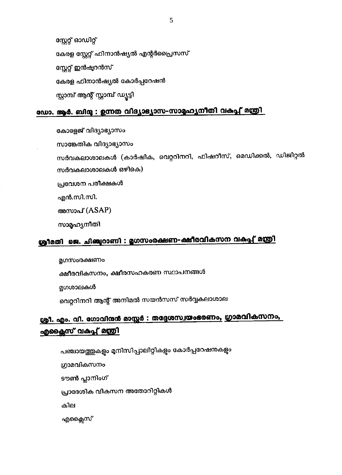പഞ്ചായത്തുകളും മുനിസിപ്പാലിറ്റികളും കോർപ്പറേഷനുകളും ഗ്രാമവികസനം ടൗൺ പ്ലാനിംഗ് പ്രാദേശിക വികസന അതോറിറ്റികൾ കില എക്ലൈസ്

## ശ്രീ. എം. വി. ഗോവിന്ദർ മാസ്റ്റർ : തദ്ദേശസ്വയംഭരണം, ഗ്രാമവികസനം, <u>എക്ലൈസ് വകപ്പ് മന്ത്രി</u>

മൃഗശാലകൾ വെറ്ററിനറി ആന്റ് അനിമൽ സയൻസസ് സർവ്വകലാശാല

ക്ഷീരവികസനം, ക്ഷീരസഹകരണ സ്ഥാപനങ്ങൾ

മൃഗസംരക്ഷണം

## ശ്രീമതി ജെ. ചിഞ്ചുറാണി : മൃഗസംരക്ഷണ-ക്ഷീരവികസന വകപ്പ് മന്ത്രി

അസാപ് (ASAP) സാമൃഹ്യനീതി

എൻ.സി.സി.

പ്രവേശന പരീക്ഷകൾ

സർവകലാശാലകൾ ഒഴികെ)

സാങ്കേതിക വിദ്യാഭ്യാസം സർവകലാശാലകൾ (കാർഷിക, വെറ്ററിനറി, ഫിഷറീസ്, മെഡിക്കൽ, ഡിജിറ്റൽ

കോളേജ് വിദ്യാഭ്യാസം

## ഡോ. ആർ. ബിന്ദു : ഉന്നത വിദ്യാഭ്യാസ-സാമൂഹ്യനീതി വകപ്പ് മന്ത്രി

സ്റ്റേറ്റ് ഓഡിറ്റ് കേരള സ്റ്റേറ്റ് ഫിനാൻഷ്യൽ എന്റർപ്രൈസസ് സ്റ്റേറ്റ് ഇൻഷ്യറൻസ് കേരള ഫിനാൻഷ്യൽ കോർപ്പറേഷൻ സ്റ്റാമ്പ് ആന്റ് സ്റ്റാമ്പ് ഡ്യൂട്ടി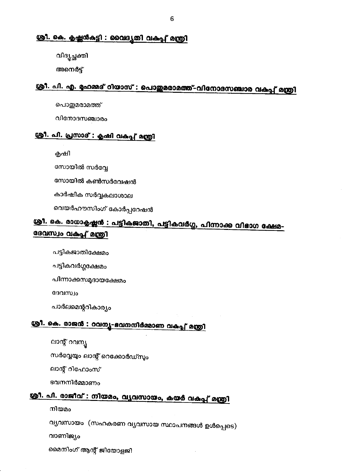### ശ്രീ. കെ. കൃഷ്ണൻകട്ടി : വൈദ്യതി വകപ്പ് മന്ത്രി

വിദൃച്ഛക്കി

അനെർട്

## ശ്രീ. പി. എ. മഹമ്മദ് റിയാസ് : പൊതുമരാമത്ത്-വിനോദസഞ്ചാര വകപ്പ് മന്ത്രി

പൊതുമരാമത്ത്

വിനോദസഞ്ചാരം

### ശ്രീ. പി. പ്രസാദ് : കൃഷി വകപ്പ് മന്ത്രി

കൃഷി

സോയിൽ സർവ്വേ

സോയിൽ കൺസർവേഷൻ

കാർഷിക സർവ്വകലാശാല

വെയർഹൗസിംഗ് കോർപ്പറേഷൻ

## ശ്രീ. കെ. രാധാകൃഷ്ണൻ : പട്ടികജാതി, പട്ടികവർഗ്ഗ, പിന്നാക്ക വിഭാഗ ക്ഷേമ-ദേവസ്വം വകപ്പ് മന്ത്രി

പട്ടികജാതിക്ഷേമം

പട്ടികവർഗ്ഗക്ഷേമം

പിന്നാക്കസമുദായക്ഷേമം

ദേവസ്വം

പാർലമെന്ററികാര്യം

## ശ്രീ. കെ. രാജൻ : റവന്യൂ-ഭവനനിർമ്മാണ വകപ്പ് മന്ത്രി

ലാന്റ് റവന്യ

സർവ്വേയും ലാന്റ് റെക്കോർഡ്സും

ലാന്റ് റിഫോംസ്

ഭവനനിർമ്മാണം

## <u>ശ്രീ. പി. രാജീവ് : നിയമം, വൃവസായം, കയർ വകപ്പ് മന്ത്രി</u>

നിയമം

വ്യവസായം (സഹകരണ വ്യവസായ സ്ഥാപനങ്ങൾ ഉൾപ്പെടെ)

വാണിജ്യം

മൈനിംഗ് ആന്റ് ജിയോളജി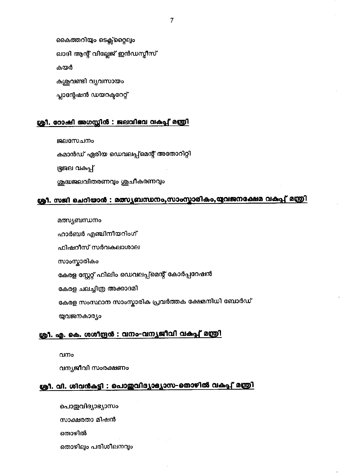കേരള സ്റ്റേറ്റ് ഫിലിം ഡെവലപ്പ്മെന്റ് കോർപ്പറേഷൻ കേരള ചലച്ചിത്ര അക്കാദമി കേരള സംസ്ഥാന സാംസ്കാരിക പ്രവർത്തക ക്ഷേമനിധി ബോർഡ് യുവജനകാര്യം

### ശ്രീ. എ. കെ. ശശീന്ദ്രൻ : വനം-വന്യജീവി വകപ്പ് മന്ത്രി

വനം

വന്യജീവി സംരക്ഷണം

## ശ്രീ. വി. ശിവൻകട്ടി : പൊഇവിദ്യാഭ്യാസ-തൊഴിൽ വകപ്പ് മന്ത്രി

പൊഇവിദ്യാഭ്യാസം സാക്ഷരതാ മിഷൻ തൊഴിൽ

തൊഴിലും പരിശീലനവും

### ശ്രീ. സജി ചെറിയാൻ : മത്സ്യബന്ധനം,സാംസ്കാരികം,യുവജനക്ഷേമ വകുപ്പ് മന്ത്രി

കമാൻഡ് ഏരിയ ഡെവലപ്പ്മെന്റ് അതോറിറ്റി ഭ്രജല വകപ്പ് ശുദ്ധജലവിതരണവും ശുചീകരണവും

#### ശ്രീ. റോഷി അഗസ്റ്റിൻ : ജലവിഭവ വകപ്പ് മന്ത്രി

ജലസേചനം

മത്സ്യബന്ധനം

സാംസ്കാരികം

ഹാർബർ എഞ്ചിനീയറിംഗ്

ഫിഷറീസ് സർവകലാശാല

കൈത്തറിയും ടെക്സ്റ്റൈലും ഖാദി ആന്റ് വില്ലേജ് ഇൻഡസ്ലീസ് കയർ കശുവണ്ടി വ്യവസായം പ്ലാന്റേഷൻ ഡയറക്ടറേറ്റ്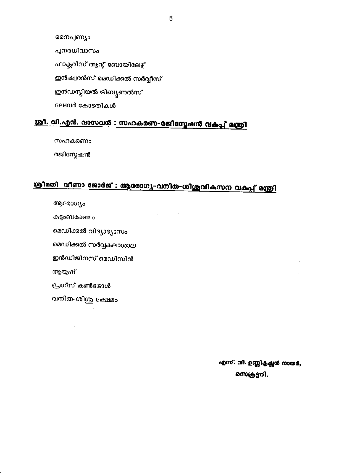8

നൈപ്പണ്യം

പുനരധിവാസം

ഫാക്സറീസ് ആന്റ് ബോയിലേഴ്ച്

ഇൻഷ്വറൻസ് മെഡിക്കൽ സർവ്വീസ്

ഇൻഡസ്ലിയൽ ട്രിബ്യൂണൽസ്

ലേബർ കോടതികൾ

## ശ്രീ. വി.എൻ. വാസവൻ : സഹകരണ-രജിസ്ലേഷൻ വകപ്പ് മന്ത്രി

സഹകരണം

രജിസ്റ്റേഷൻ

## ശ്രീമതി വീണാ ജോർജ് : ആരോഗ്യ-വനിത-ശിശുവികസന വകപ്പ് മന്ത്രി

 $\mathcal{F}^{\mathcal{F}}_{\mathcal{F}}$  , where  $\mathcal{F}^{\mathcal{F}}_{\mathcal{F}}$ 

ആരോഗ്യം

കുടുംബക്ഷേമം

മെഡിക്കൽ വിദ്യാഭ്യാസം

മെഡിക്കൽ സർവ്വകലാശാല

ഇൻഡിജിനസ് മെഡിസിൻ

ആയുഷ്

ഡ്രഗ്സ് കൺട്രോൾ

വനിത-ശിശു ക്ഷേമം

എസ്. വി. ഉണ്ണികൃഷ്ണൻ നായർ, സെക്രട്ടറി.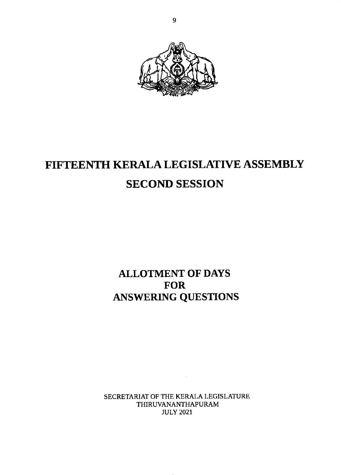

# FIFTEENTH KERALA LEGISLATIVE ASSEMBLY SECOND SESSION

ALLOTMENT OF DAYS FOR ANSWERING QUESTIONS

SECRETARIAT OF THE KERALA LEGISLATURE THIRUVANANTHAPURAM JULY 2021

 $\sim$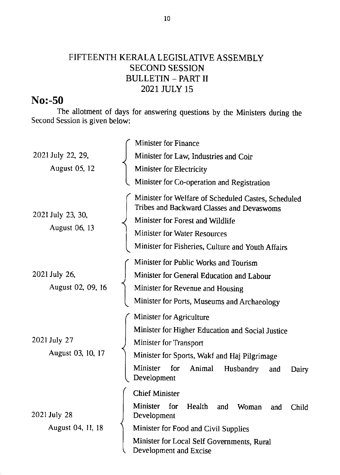### FIFTEENTH KERALA LEGISLATIVE ASSEMBLY SECOND SESSION BULLETIN - PART II 2021 JULY 15

## No:-50

The allotment of days for answering questions by the Ministers during the Second Session is given below:

| 2021 July 22, 29,<br><b>August 05, 12</b> | <b>Minister for Finance</b>                                                                      |
|-------------------------------------------|--------------------------------------------------------------------------------------------------|
|                                           | Minister for Law, Industries and Coir                                                            |
|                                           | <b>Minister for Electricity</b>                                                                  |
|                                           | Minister for Co-operation and Registration                                                       |
| 2021 July 23, 30,<br>August 06, 13        | Minister for Welfare of Scheduled Castes, Scheduled<br>Tribes and Backward Classes and Devaswoms |
|                                           | Minister for Forest and Wildlife                                                                 |
|                                           | <b>Minister for Water Resources</b>                                                              |
|                                           | Minister for Fisheries, Culture and Youth Affairs                                                |
| 2021 July 26,<br>August 02, 09, 16        | Minister for Public Works and Tourism                                                            |
|                                           | Minister for General Education and Labour                                                        |
|                                           | Minister for Revenue and Housing                                                                 |
|                                           | Minister for Ports, Museums and Archaeology                                                      |
| 2021 July 27<br>August 03, 10, 17         | Minister for Agriculture                                                                         |
|                                           | Minister for Higher Education and Social Justice                                                 |
|                                           | <b>Minister for Transport</b>                                                                    |
|                                           | Minister for Sports, Wakf and Haj Pilgrimage                                                     |
|                                           | Minister<br>for<br>Animal<br><b>Husbandry</b><br>and<br>Dairy<br>Development                     |
| 2021 July 28<br>August 04, 11, 18         | <b>Chief Minister</b>                                                                            |
|                                           | <b>Minister</b><br>for<br>Health<br>and<br>Woman<br>Child<br>and<br>Development                  |
|                                           | Minister for Food and Civil Supplies                                                             |
|                                           | Minister for Local Self Governments, Rural<br>Development and Excise                             |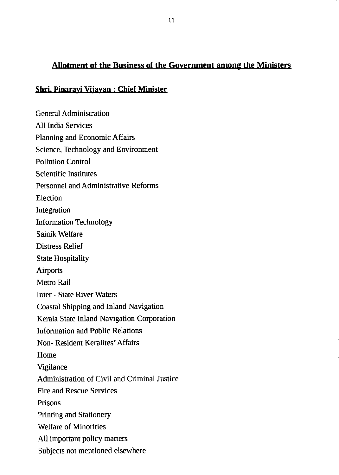#### Allotment of the Business of the Government among the Ministers

#### Shri. Pinaravi Vijayan : Chief Minister

General Administration All India Services Planning and Economic Affairs Science, Technology and Environment Pollution Control Scientific Institutes Personnel and Administrative Reforms Election Integration Information Technology Sainik Welfare Distress Relief **State Hospitality Airports** Metro Rail Inter - State River Waters Coastal Shipping and Inland Navigation Kerala State Inland Navigation Corporation Information and Public Relations Non- Resident Keralites' Affairs Home Vigilance Administration of Civil and Criminal Justice Fire and Rescue Services Prisons Printing and Stationery Welfare of Minorities All important policy matters Subjects not mentioned elsewhere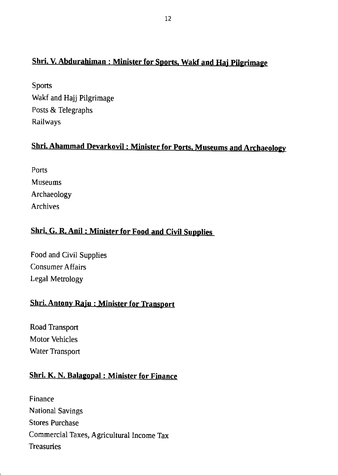### Shri. V. Abdurahiman : Minister for Sports, Wakf and Haj Pilgrimage

Sports Wakf and Hajj Pilgrimage Posts & Telegraphs Railways

### <u>ammad Devarkovil : Minister</u>

Ports Museums Archaeology Archives

### Shri. G. R. Anil: Minister for Food and Civil Supplies

Food and Civil Supplies Consumer Affairs Legal Metrology

#### Shri. Antony Raju : Minister for Transport

Road Transport Motor Vehicles Water Transport

#### Shri. K. N. Balagopal: Minister for Finance

Finance National Savings Stores Purchase Commercial Taxes, Agricultural Income Tax **Treasuries**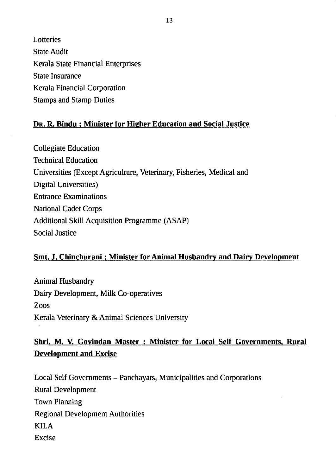Lotteries **State Audit** Kerala State Financial Enterprises State Insurance Kerala Financial Corporation Stamps and Stamp Duties

#### Dr. R. Bindu : Minister for Higher Education and Social Justice

Collegiate Education Technical Education Universities (Except Agriculture, Veterinary, Fisheries, Medical and Digital Universities) Entrance Examinations National Cadet Corps Additional Skill Acquisition Programme (ASAP) Social Justice

#### Smt. J. Chinchurani : Minister for Animal Husbandry and Dairy Development

Animal Husbandry Dairy Development, Milk Co-operatives Zoos Kerala Veterinary & Animal Sciences University

### Shri. M. V. Govindan Master : Minister for Local Self Governments, Rural Development and Excise

Local Self Governments - Panchayats, Municipalities and Corporations Rural Development Town Planning Regional Development Authorities KILA Excise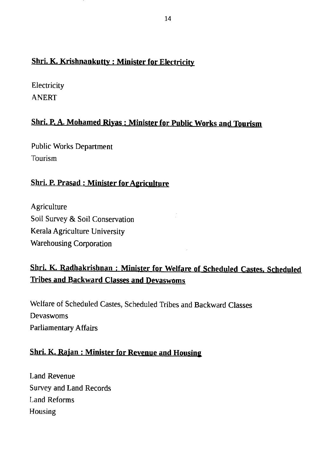#### Shri. K. Krishnankutty: Minister for Electricity

**Electricity** ANERT

### Shri. P. A. Mohamed Riyas : Minister for public Works and Tburism

Public Works Department 'lourism

#### Shri. P. Prasad: Minister for Agriculture

**Agriculture** Soil Survey & Soil Conservation Kerala Agriculture University Warehousing Corporation

## shri. K. Radhakrishnan : Minister for welfare of Scheduled castes. scheduled **Tribes and Backward Classes and Devaswoms**

Welfare of Scheduled Castes, Scheduled Tribes and Backward Classes Devaswoms Parliamentary Affairs

#### Shri. K. Rajan : Minister for Revenue and Housing

Land Revenue Survey and Land Records Land Reforms Housing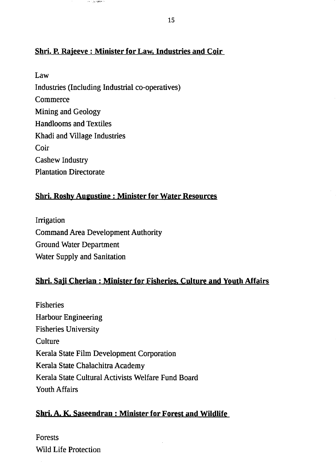#### Shri. P. Rajeeve: Minister for Law, Industries and Coir

Law Industries (Including Industrial co-operatives) Commerce Mining and Geology Handlooms and Textiles Khadi and Village Industries Coir Cashew Industry Plantation Directorate

#### Shri. Roshy Augustine : Minister for Water Resources

Irrigation Command Area Development Authority Ground Water Department Water Supply and Sanitation

#### Shri. Saji Cherian : Minister for Fisheries. Culture and Youth Alfairs

Fisheries Harbour Engineering Fisheries University **Culture** Kerala State Film Development Corporation Kerala State Chalachitra Academy Kerala State Cultural Activiss Welfare Fund Board Youth Affairs

#### Shri. A. K. Saseendran: Minister for Forest and Wildlife

Forests Wild Life Protection